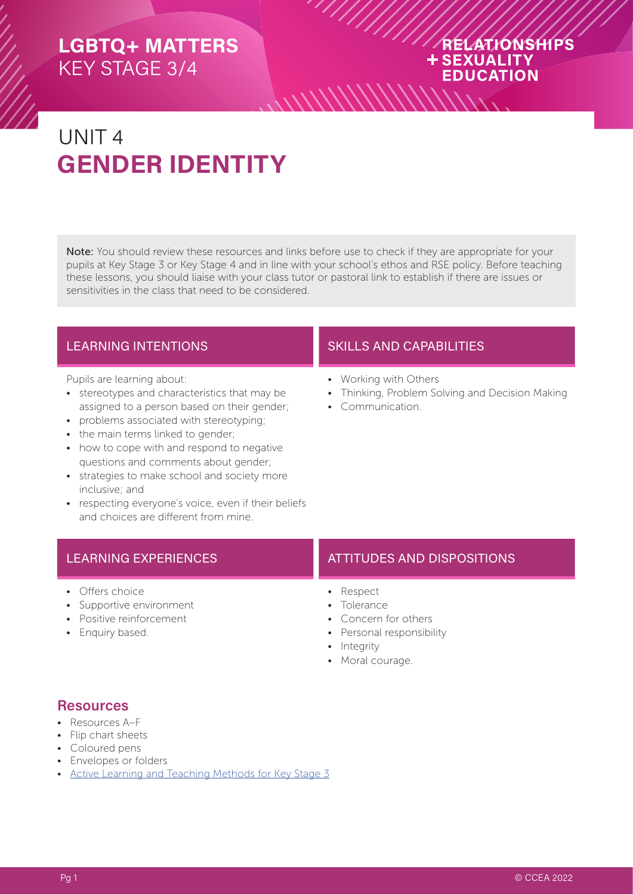#### RELATIONSHIPS **+SEXUALITY EDUCATION**

# UNIT 4 **GENDER IDENTITY**

Note: You should review these resources and links before use to check if they are appropriate for your pupils at Key Stage 3 or Key Stage 4 and in line with your school's ethos and RSE policy. Before teaching these lessons, you should liaise with your class tutor or pastoral link to establish if there are issues or sensitivities in the class that need to be considered.

 $\frac{1}{2}$ 

Pupils are learning about:

- stereotypes and characteristics that may be assigned to a person based on their gender;
- problems associated with stereotyping;
- the main terms linked to gender;
- how to cope with and respond to negative questions and comments about gender;
- strategies to make school and society more inclusive; and
- respecting everyone's voice, even if their beliefs and choices are different from mine.

- Offers choice
- Supportive environment
- Positive reinforcement
- Enquiry based.

#### LEARNING INTENTIONS **SKILLS AND CAPABILITIES**

- Working with Others
- Thinking, Problem Solving and Decision Making
- Communication.

#### LEARNING EXPERIENCES **ATTITUDES AND DISPOSITIONS**

- Respect
- Tolerance
- Concern for others
- Personal responsibility
- Integrity
- Moral courage.

#### **Resources**

- Resources A–F
- Flip chart sheets
- Coloured pens
- Envelopes or folders
- [Active Learning and Teaching Methods for Key Stage 3](https://ccea.org.uk/downloads/docs/ccea-asset/Curriculum/Active%20Learning%20and%20Teaching%20Methods%20for%20Key%20Stage%203.pdf)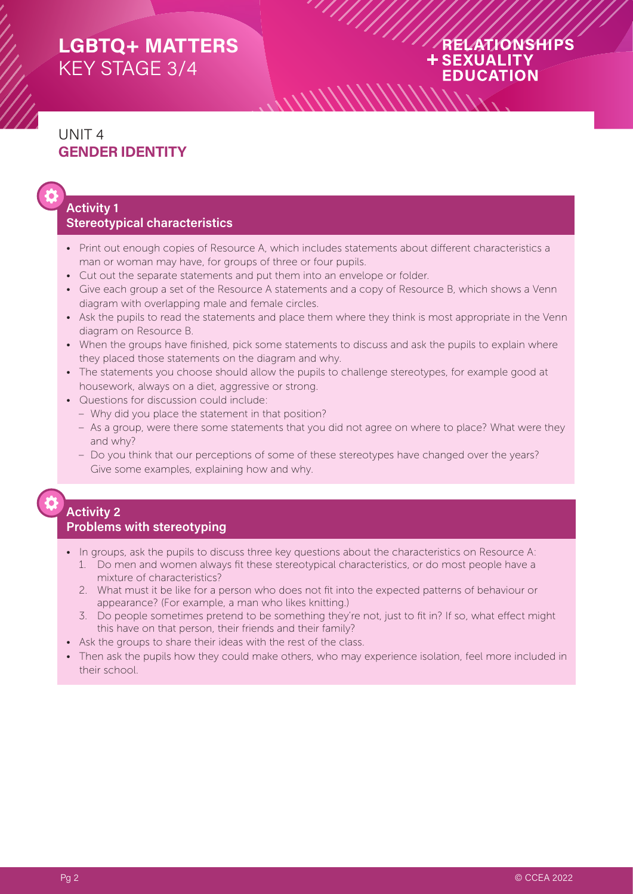#### RELATIONSHIPS **+SEXUALITY EDUCATION**

## UNIT 4 **GENDER IDENTITY**

#### **Activity 1 Stereotypical characteristics**

- Print out enough copies of Resource A, which includes statements about different characteristics a man or woman may have, for groups of three or four pupils.
- Cut out the separate statements and put them into an envelope or folder.
- Give each group a set of the Resource A statements and a copy of Resource B, which shows a Venn diagram with overlapping male and female circles.
- Ask the pupils to read the statements and place them where they think is most appropriate in the Venn diagram on Resource B.
- When the groups have finished, pick some statements to discuss and ask the pupils to explain where they placed those statements on the diagram and why.
- The statements you choose should allow the pupils to challenge stereotypes, for example good at housework, always on a diet, aggressive or strong.
- Questions for discussion could include:
	- Why did you place the statement in that position?
	- As a group, were there some statements that you did not agree on where to place? What were they and why?
	- Do you think that our perceptions of some of these stereotypes have changed over the years? Give some examples, explaining how and why.

#### **Activity 2 Problems with stereotyping**

- In groups, ask the pupils to discuss three key questions about the characteristics on Resource A:
	- 1. Do men and women always fit these stereotypical characteristics, or do most people have a mixture of characteristics?
	- 2. What must it be like for a person who does not fit into the expected patterns of behaviour or appearance? (For example, a man who likes knitting.)
	- 3. Do people sometimes pretend to be something they're not, just to fit in? If so, what effect might this have on that person, their friends and their family?
- Ask the groups to share their ideas with the rest of the class.
- Then ask the pupils how they could make others, who may experience isolation, feel more included in their school.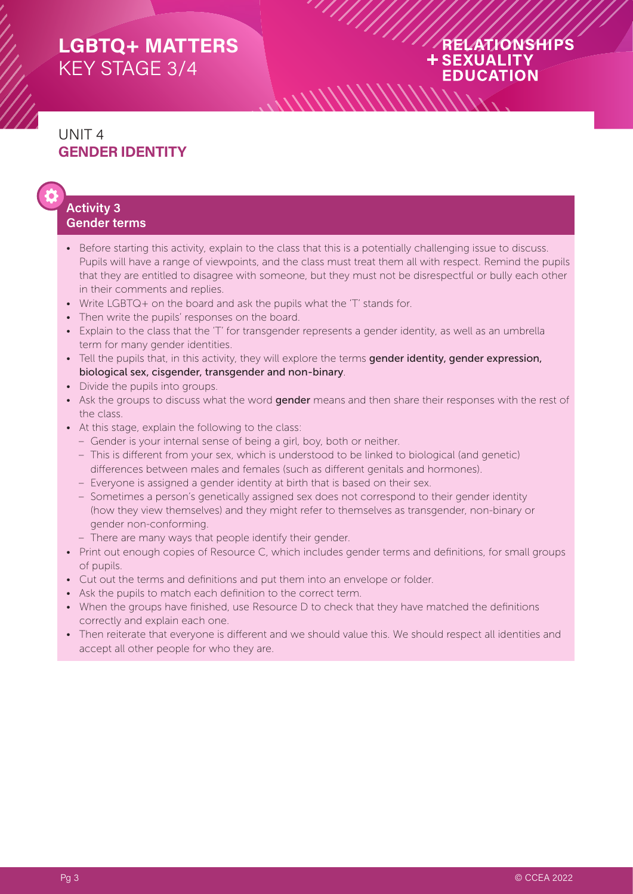#### RELATIONSHIPS **+SEXUALITY EDUCATION**

#### UNIT 4 **GENDER IDENTITY**

#### **Activity 3 Gender terms**

- Before starting this activity, explain to the class that this is a potentially challenging issue to discuss. Pupils will have a range of viewpoints, and the class must treat them all with respect. Remind the pupils that they are entitled to disagree with someone, but they must not be disrespectful or bully each other in their comments and replies.
- Write LGBTQ+ on the board and ask the pupils what the 'T' stands for.
- Then write the pupils' responses on the board.
- Explain to the class that the 'T' for transgender represents a gender identity, as well as an umbrella term for many gender identities.
- Tell the pupils that, in this activity, they will explore the terms gender identity, gender expression, biological sex, cisgender, transgender and non-binary.
- Divide the pupils into groups.
- Ask the groups to discuss what the word gender means and then share their responses with the rest of the class.
- At this stage, explain the following to the class:
	- Gender is your internal sense of being a girl, boy, both or neither.
	- This is different from your sex, which is understood to be linked to biological (and genetic) differences between males and females (such as different genitals and hormones).
	- Everyone is assigned a gender identity at birth that is based on their sex.
	- Sometimes a person's genetically assigned sex does not correspond to their gender identity (how they view themselves) and they might refer to themselves as transgender, non-binary or gender non-conforming.
	- There are many ways that people identify their gender.
- Print out enough copies of Resource C, which includes gender terms and definitions, for small groups of pupils.
- Cut out the terms and definitions and put them into an envelope or folder.
- Ask the pupils to match each definition to the correct term.
- When the groups have finished, use Resource D to check that they have matched the definitions correctly and explain each one.
- Then reiterate that everyone is different and we should value this. We should respect all identities and accept all other people for who they are.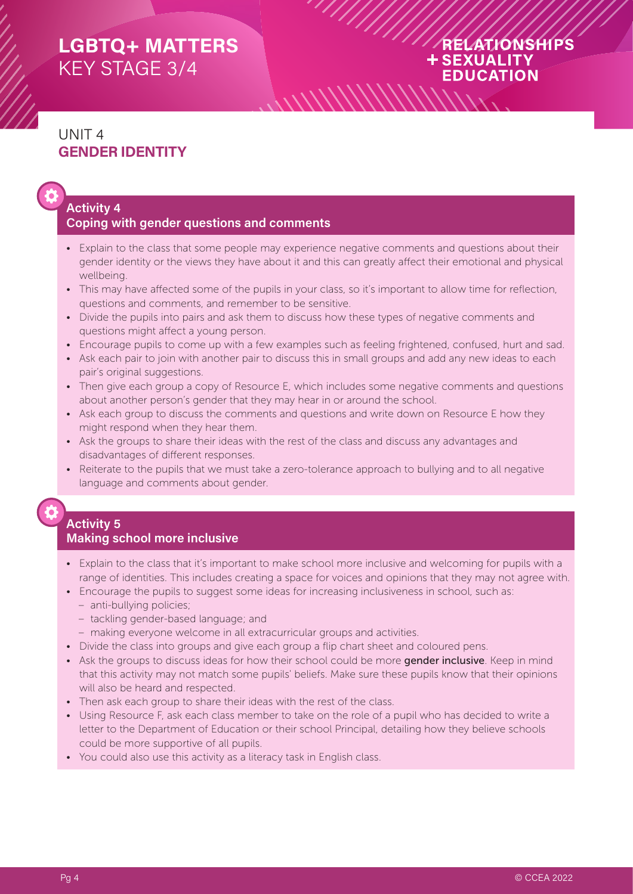#### RELATIONSHIPS + SEXUALITY **EDUCATION**

## UNIT 4 **GENDER IDENTITY**

#### **Activity 4 Coping with gender questions and comments**

• Explain to the class that some people may experience negative comments and questions about their gender identity or the views they have about it and this can greatly affect their emotional and physical wellbeing.

 $\frac{1}{2}$ 

- This may have affected some of the pupils in your class, so it's important to allow time for reflection, questions and comments, and remember to be sensitive.
- Divide the pupils into pairs and ask them to discuss how these types of negative comments and questions might affect a young person.
- Encourage pupils to come up with a few examples such as feeling frightened, confused, hurt and sad.
- Ask each pair to join with another pair to discuss this in small groups and add any new ideas to each pair's original suggestions.
- Then give each group a copy of Resource E, which includes some negative comments and questions about another person's gender that they may hear in or around the school.
- Ask each group to discuss the comments and questions and write down on Resource E how they might respond when they hear them.
- Ask the groups to share their ideas with the rest of the class and discuss any advantages and disadvantages of different responses.
- Reiterate to the pupils that we must take a zero-tolerance approach to bullying and to all negative language and comments about gender.

#### **Activity 5 Making school more inclusive**

- Explain to the class that it's important to make school more inclusive and welcoming for pupils with a range of identities. This includes creating a space for voices and opinions that they may not agree with.
- Encourage the pupils to suggest some ideas for increasing inclusiveness in school, such as:
	- anti-bullying policies;
	- tackling gender-based language; and
	- making everyone welcome in all extracurricular groups and activities.
- Divide the class into groups and give each group a flip chart sheet and coloured pens.
- Ask the groups to discuss ideas for how their school could be more gender inclusive. Keep in mind that this activity may not match some pupils' beliefs. Make sure these pupils know that their opinions will also be heard and respected.
- Then ask each group to share their ideas with the rest of the class.
- Using Resource F, ask each class member to take on the role of a pupil who has decided to write a letter to the Department of Education or their school Principal, detailing how they believe schools could be more supportive of all pupils.
- You could also use this activity as a literacy task in English class.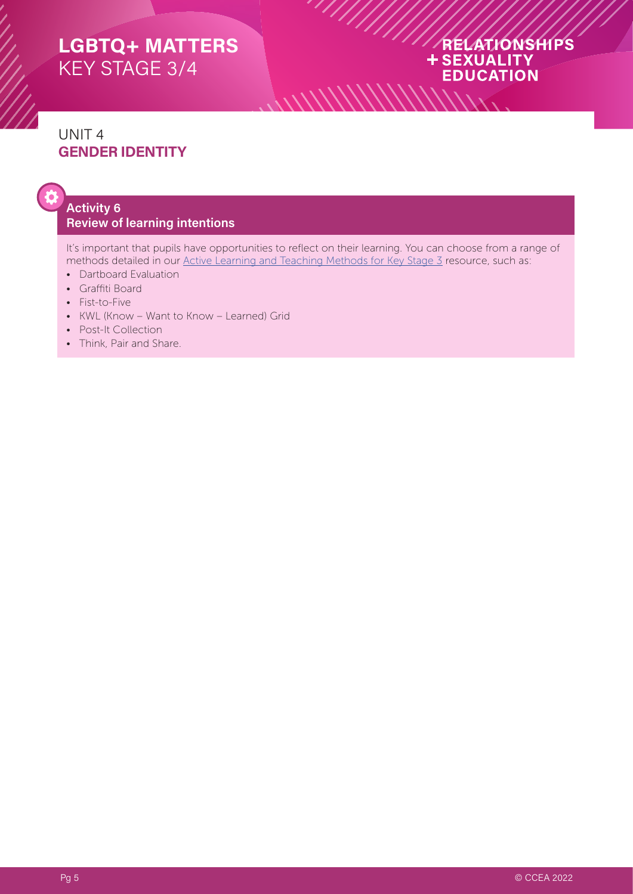#### RELATIONSHIPS **+SEXUALITY EDUCATION**

## UNIT 4 **GENDER IDENTITY**

#### **Activity 6 Review of learning intentions**

It's important that pupils have opportunities to reflect on their learning. You can choose from a range of methods detailed in our [Active Learning and Teaching Methods for Key Stage 3](https://ccea.org.uk/downloads/docs/ccea-asset/Curriculum/Active%20Learning%20and%20Teaching%20Methods%20for%20Key%20Stage%203.pdf) resource, such as:

 $\frac{1}{2}$ 

*\\\\\\\\* 

- Dartboard Evaluation
- Graffiti Board
- Fist-to-Five
- KWL (Know Want to Know Learned) Grid
- Post-It Collection
- Think, Pair and Share.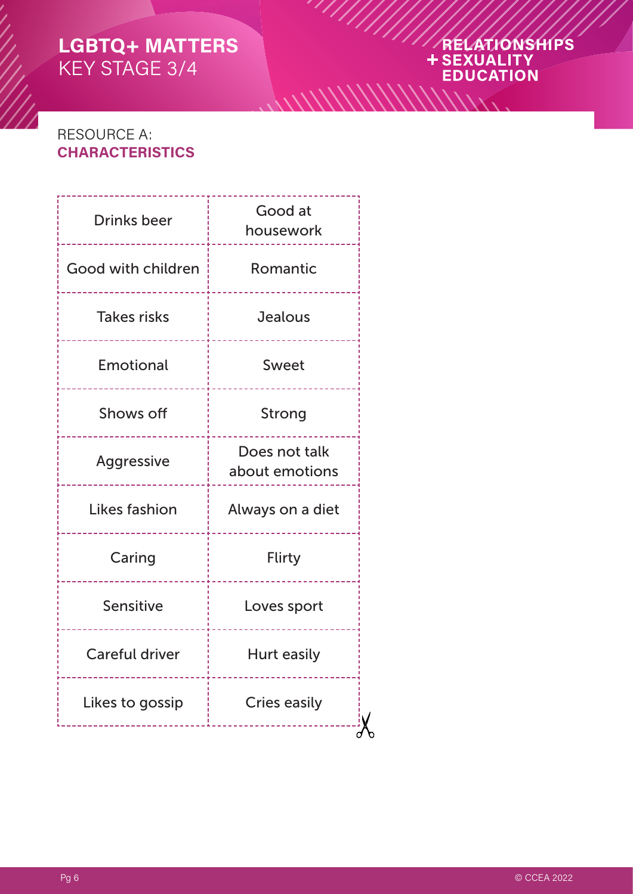# ARELATIONSHIPS

 $\frac{1}{2}$ 

## RESOURCE A: **CHARACTERISTICS**

| <b>Drinks beer</b>    | Good at<br>housework            |  |
|-----------------------|---------------------------------|--|
| Good with children    | Romantic                        |  |
| <b>Takes risks</b>    | Jealous                         |  |
| Emotional             | Sweet<br>-----------            |  |
| Shows off             | Strong                          |  |
| Aggressive            | Does not talk<br>about emotions |  |
| Likes fashion         | Always on a diet                |  |
| Caring                | <b>Flirty</b>                   |  |
| Sensitive             | Loves sport                     |  |
| <b>Careful driver</b> | Hurt easily                     |  |
| Likes to gossip       | <b>Cries easily</b>             |  |
|                       |                                 |  |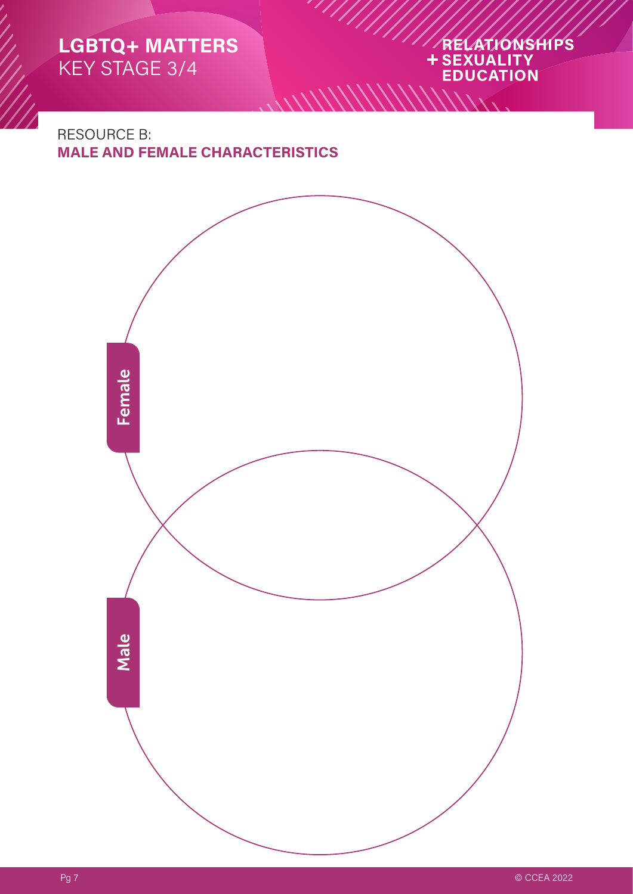# ARELATIONSHIPS

RESOURCE B: **MALE AND FEMALE CHARACTERISTICS**



 $\frac{1}{2}$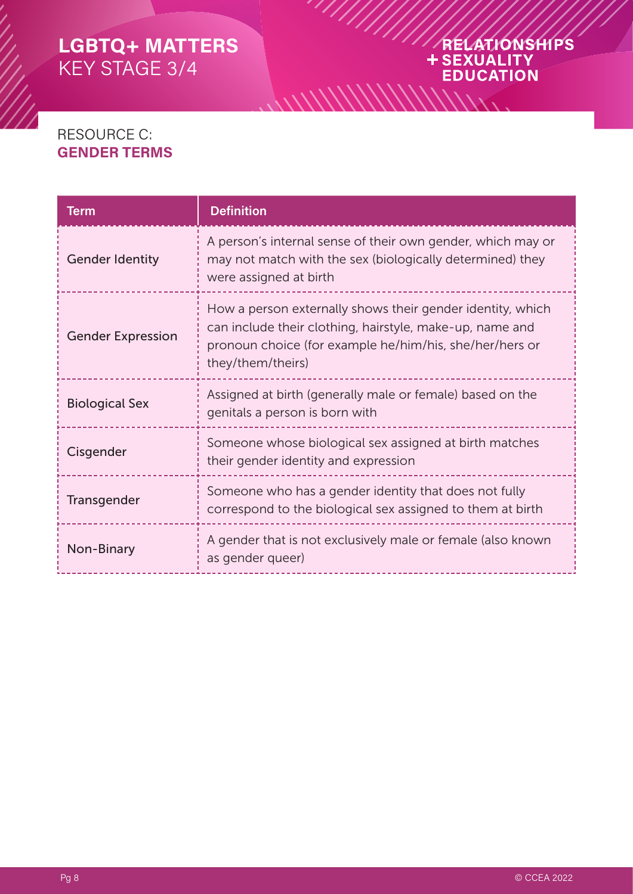# ARELATIONSHIPS *\\\\\\\\\*

## RESOURCE C: **GENDER TERMS**

| <b>Term</b>              | <b>Definition</b>                                                                                                                                                                                      |
|--------------------------|--------------------------------------------------------------------------------------------------------------------------------------------------------------------------------------------------------|
| <b>Gender Identity</b>   | A person's internal sense of their own gender, which may or<br>may not match with the sex (biologically determined) they<br>were assigned at birth                                                     |
| <b>Gender Expression</b> | How a person externally shows their gender identity, which<br>can include their clothing, hairstyle, make-up, name and<br>pronoun choice (for example he/him/his, she/her/hers or<br>they/them/theirs) |
| <b>Biological Sex</b>    | Assigned at birth (generally male or female) based on the<br>genitals a person is born with                                                                                                            |
| Cisgender                | Someone whose biological sex assigned at birth matches<br>their gender identity and expression                                                                                                         |
| Transgender              | Someone who has a gender identity that does not fully<br>correspond to the biological sex assigned to them at birth                                                                                    |
| Non-Binary               | A gender that is not exclusively male or female (also known<br>as gender queer)                                                                                                                        |

 $\frac{1}{2}$ 

 $1/1/2$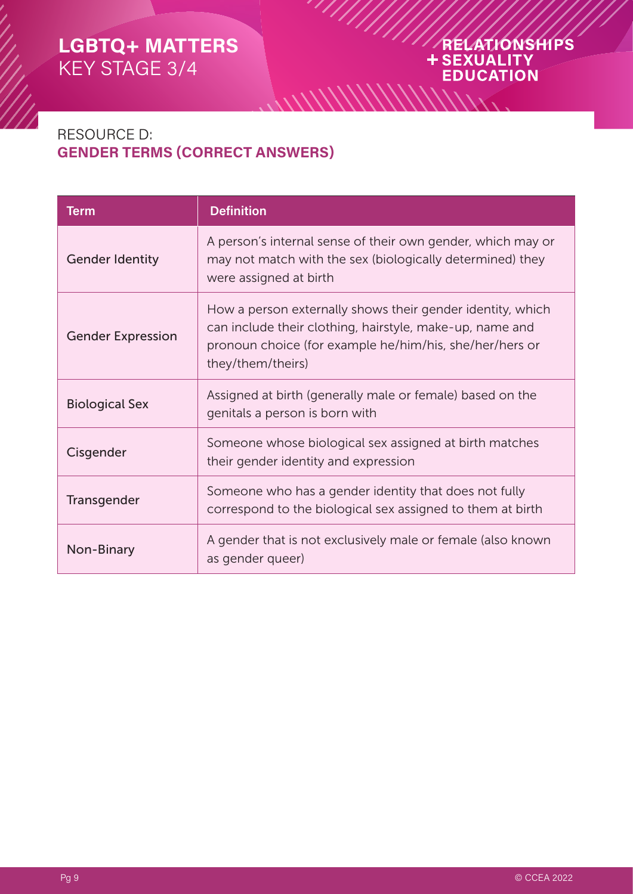# ARELATIONSHIPS **EDUCATION**

## RESOURCE D: **GENDER TERMS (CORRECT ANSWERS)**

| <b>Term</b>              | <b>Definition</b>                                                                                                                                                                                      |
|--------------------------|--------------------------------------------------------------------------------------------------------------------------------------------------------------------------------------------------------|
| <b>Gender Identity</b>   | A person's internal sense of their own gender, which may or<br>may not match with the sex (biologically determined) they<br>were assigned at birth                                                     |
| <b>Gender Expression</b> | How a person externally shows their gender identity, which<br>can include their clothing, hairstyle, make-up, name and<br>pronoun choice (for example he/him/his, she/her/hers or<br>they/them/theirs) |
| <b>Biological Sex</b>    | Assigned at birth (generally male or female) based on the<br>genitals a person is born with                                                                                                            |
| Cisgender                | Someone whose biological sex assigned at birth matches<br>their gender identity and expression                                                                                                         |
| Transgender              | Someone who has a gender identity that does not fully<br>correspond to the biological sex assigned to them at birth                                                                                    |
| Non-Binary               | A gender that is not exclusively male or female (also known<br>as gender queer)                                                                                                                        |

 $\frac{1}{2}$ 

////////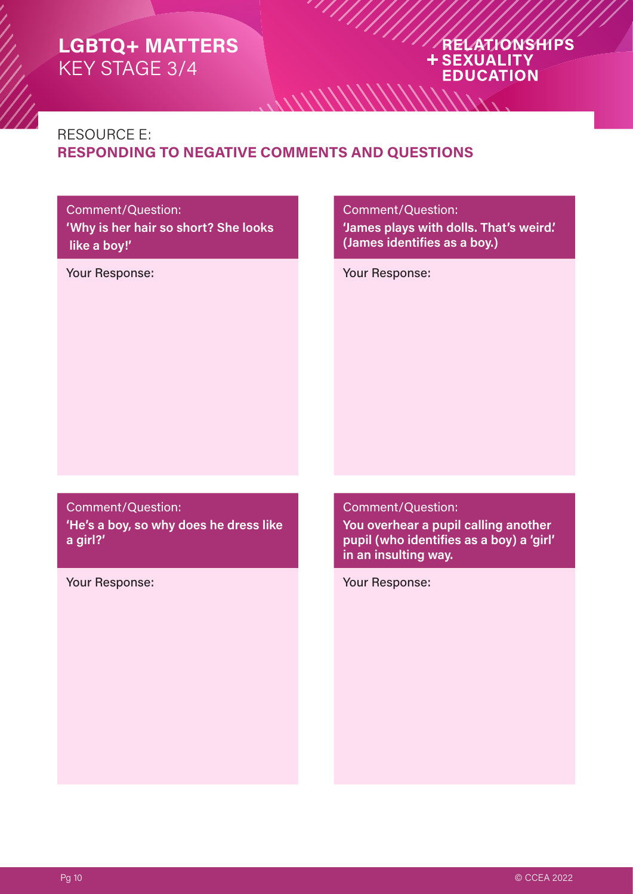#### RELATIONSHIPS **+SEXUALITY EDUCATION**

#### RESOURCE E: **RESPONDING TO NEGATIVE COMMENTS AND QUESTIONS**

 $\frac{1}{2}$ 

#### Comment/Question: **'Why is her hair so short? She looks like a boy!'**

Comment/Question:

**'James plays with dolls. That's weird.' (James identifies as a boy.)**

Your Response: Your Response:

Comment/Question: **'He's a boy, so why does he dress like a girl?'**

Your Response: Your Response:

Comment/Question:

**You overhear a pupil calling another pupil (who identifies as a boy) a 'girl' in an insulting way.**